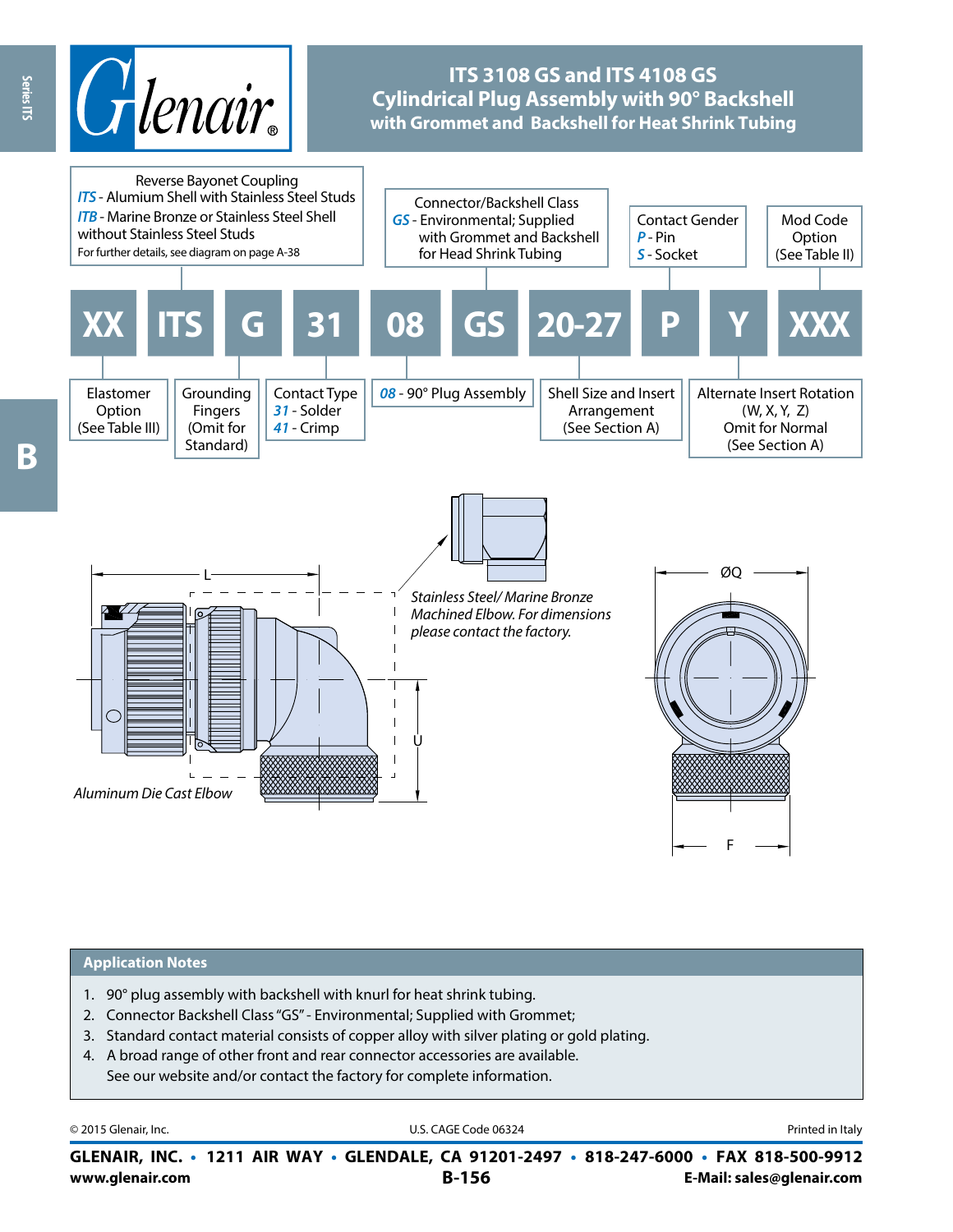

# **ITS 3108 GS and ITS 4108 GS Cylindrical Plug Assembly with 90° Backshell with Grommet and Backshell for Heat Shrink Tubing**



#### **Application Notes**

- 1. 90° plug assembly with backshell with knurl for heat shrink tubing.
- 2. Connector Backshell Class"GS" Environmental; Supplied with Grommet;
- 3. Standard contact material consists of copper alloy with silver plating or gold plating.
- 4. A broad range of other front and rear connector accessories are available. See our website and/or contact the factory for complete information.

| © 2015 Glenair, Inc. |  |  |  |  |
|----------------------|--|--|--|--|
|----------------------|--|--|--|--|

U.S. CAGE Code 06324 **Printed in Italy** 

**www.glenair.com B-156 E-Mail: sales@glenair.com GLENAIR, INC. • 1211 AIR WAY • GLENDALE, CA 91201-2497 • 818-247-6000 • FAX 818-500-9912**

**B**